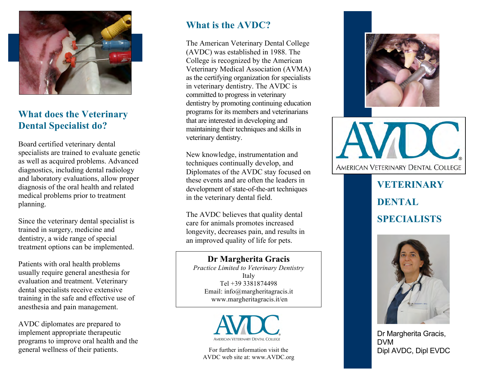

## **What does the Veterinary Dental Specialist do?**

Board certified veterinary dental specialists are trained to evaluate genetic as well as acquired problems. Advanced diagnostics, including dental radiology and laboratory evaluations, allow proper diagnosis of the oral health and related medical problems prior to treatment planning.

Since the veterinary dental specialist is trained in surgery, medicine and dentistry, a wide range of special treatment options can be implemented.

Patients with oral health problems usually require general anesthesia for evaluation and treatment. Veterinary dental specialists receive extensive training in the safe and effective use of anesthesia and pain management.

AVDC diplomates are prepared to implement appropriate therapeutic programs to improve oral health and the general wellness of their patients.

## **What is the AVDC?**

The American Veterinary Dental College (AVDC) was established in 1988. The College is recognized by the American Veterinary Medical Association (AVMA) as the certifying organization for specialists in veterinary dentistry. The AVDC is committed to progress in veterinary dentistry by promoting continuing education programs for its members and veterinarians that are interested in developing and maintaining their techniques and skills in veterinary dentistry.

New knowledge, instrumentation and techniques continually develop, and Diplomates of the AVDC stay focused on these events and are often the leaders in development of state -of-the -art techniques in the veterinary dental field.

The AVDC believes that quality dental care for animals promotes increased longevity, decreases pain, and results in an improved quality of life for pets.

### **Dr Margherita Gracis**

*Practice Limited to Veterinary Dentistry* Italy Tel +39 3381874498 Email: info@margheritagracis.it www.margheritagracis.it/en



For further information visit the AVDC web site at: www.AVDC.org





# **VETERINARY DENTAL SPECIALISTS**



D r Margherita Gracis, DVM Dipl AVDC, Dipl EVDC